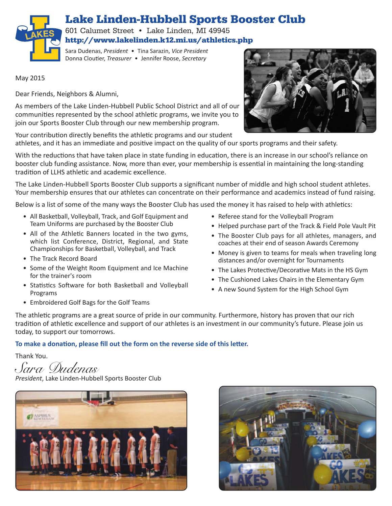

601 Calumet Street • Lake Linden, MI 49945 **http://www.lakelinden.k12.mi.us/athletics.php**

Sara Dudenas, *President* • Tina Sarazin, *Vice President* Donna Cloutier, *Treasurer* • Jennifer Roose, *Secretary*

May 2015

**LAKE<sup>S</sup>**

Dear Friends, Neighbors & Alumni,

As members of the Lake Linden-Hubbell Public School District and all of our communities represented by the school athletic programs, we invite you to join our Sports Booster Club through our new membership program.

Your contribution directly benefits the athletic programs and our student athletes, and it has an immediate and positive impact on the quality of our sports programs and their safety.

With the reductions that have taken place in state funding in education, there is an increase in our school's reliance on booster club funding assistance. Now, more than ever, your membership is essential in maintaining the long-standing tradition of LLHS athletic and academic excellence.

The Lake Linden-Hubbell Sports Booster Club supports a significant number of middle and high school student athletes. Your membership ensures that our athletes can concentrate on their performance and academics instead of fund raising.

Below is a list of some of the many ways the Booster Club has used the money it has raised to help with athletics:

- All Basketball, Volleyball, Track, and Golf Equipment and Team Uniforms are purchased by the Booster Club
- All of the Athletic Banners located in the two gyms, which list Conference, District, Regional, and State Championships for Basketball, Volleyball, and Track
- The Track Record Board
- Some of the Weight Room Equipment and Ice Machine for the trainer's room
- Statistics Software for both Basketball and Volleyball Programs
- Embroidered Golf Bags for the Golf Teams
- Referee stand for the Volleyball Program
- Helped purchase part of the Track & Field Pole Vault Pit
- The Booster Club pays for all athletes, managers, and coaches at their end of season Awards Ceremony
- Money is given to teams for meals when traveling long distances and/or overnight for Tournaments
- The Lakes Protective/Decorative Mats in the HS Gym
- The Cushioned Lakes Chairs in the Elementary Gym
- A new Sound System for the High School Gym

The athletic programs are a great source of pride in our community. Furthermore, history has proven that our rich tradition of athletic excellence and support of our athletes is an investment in our community's future. Please join us today, to support our tomorrows.

#### **To make a donation, please fill out the form on the reverse side of this letter.**

Thank You.

*Sara Dudenas President*, Lake Linden-Hubbell Sports Booster Club